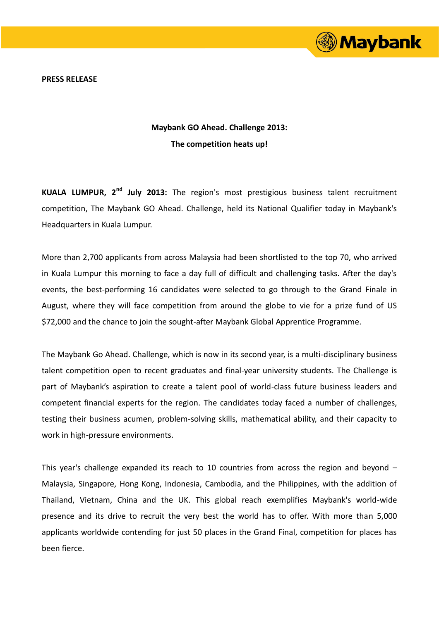

**PRESS RELEASE**

## **Maybank GO Ahead. Challenge 2013: The competition heats up!**

**KUALA LUMPUR, 2nd July 2013:** The region's most prestigious business talent recruitment competition, The Maybank GO Ahead. Challenge, held its National Qualifier today in Maybank's Headquarters in Kuala Lumpur.

More than 2,700 applicants from across Malaysia had been shortlisted to the top 70, who arrived in Kuala Lumpur this morning to face a day full of difficult and challenging tasks. After the day's events, the best-performing 16 candidates were selected to go through to the Grand Finale in August, where they will face competition from around the globe to vie for a prize fund of US \$72,000 and the chance to join the sought-after Maybank Global Apprentice Programme.

The Maybank Go Ahead. Challenge, which is now in its second year, is a multi-disciplinary business talent competition open to recent graduates and final-year university students. The Challenge is part of Maybank's aspiration to create a talent pool of world-class future business leaders and competent financial experts for the region. The candidates today faced a number of challenges, testing their business acumen, problem-solving skills, mathematical ability, and their capacity to work in high-pressure environments.

This year's challenge expanded its reach to 10 countries from across the region and beyond – Malaysia, Singapore, Hong Kong, Indonesia, Cambodia, and the Philippines, with the addition of Thailand, Vietnam, China and the UK. This global reach exemplifies Maybank's world-wide presence and its drive to recruit the very best the world has to offer. With more than 5,000 applicants worldwide contending for just 50 places in the Grand Final, competition for places has been fierce.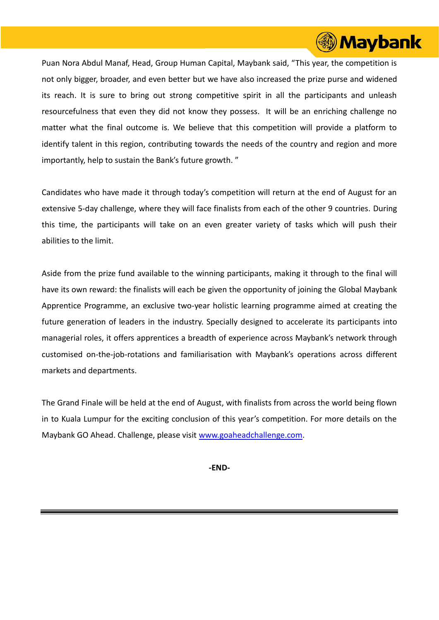

Puan Nora Abdul Manaf, Head, Group Human Capital, Maybank said, "This year, the competition is not only bigger, broader, and even better but we have also increased the prize purse and widened its reach. It is sure to bring out strong competitive spirit in all the participants and unleash resourcefulness that even they did not know they possess. It will be an enriching challenge no matter what the final outcome is. We believe that this competition will provide a platform to identify talent in this region, contributing towards the needs of the country and region and more importantly, help to sustain the Bank's future growth. "

Candidates who have made it through today's competition will return at the end of August for an extensive 5-day challenge, where they will face finalists from each of the other 9 countries. During this time, the participants will take on an even greater variety of tasks which will push their abilities to the limit.

Aside from the prize fund available to the winning participants, making it through to the final will have its own reward: the finalists will each be given the opportunity of joining the Global Maybank Apprentice Programme, an exclusive two-year holistic learning programme aimed at creating the future generation of leaders in the industry. Specially designed to accelerate its participants into managerial roles, it offers apprentices a breadth of experience across Maybank's network through customised on-the-job-rotations and familiarisation with Maybank's operations across different markets and departments.

The Grand Finale will be held at the end of August, with finalists from across the world being flown in to Kuala Lumpur for the exciting conclusion of this year's competition. For more details on the Maybank GO Ahead. Challenge, please visit [www.goaheadchallenge.com.](http://www.goaheadchallenge.com/)

**-END-**